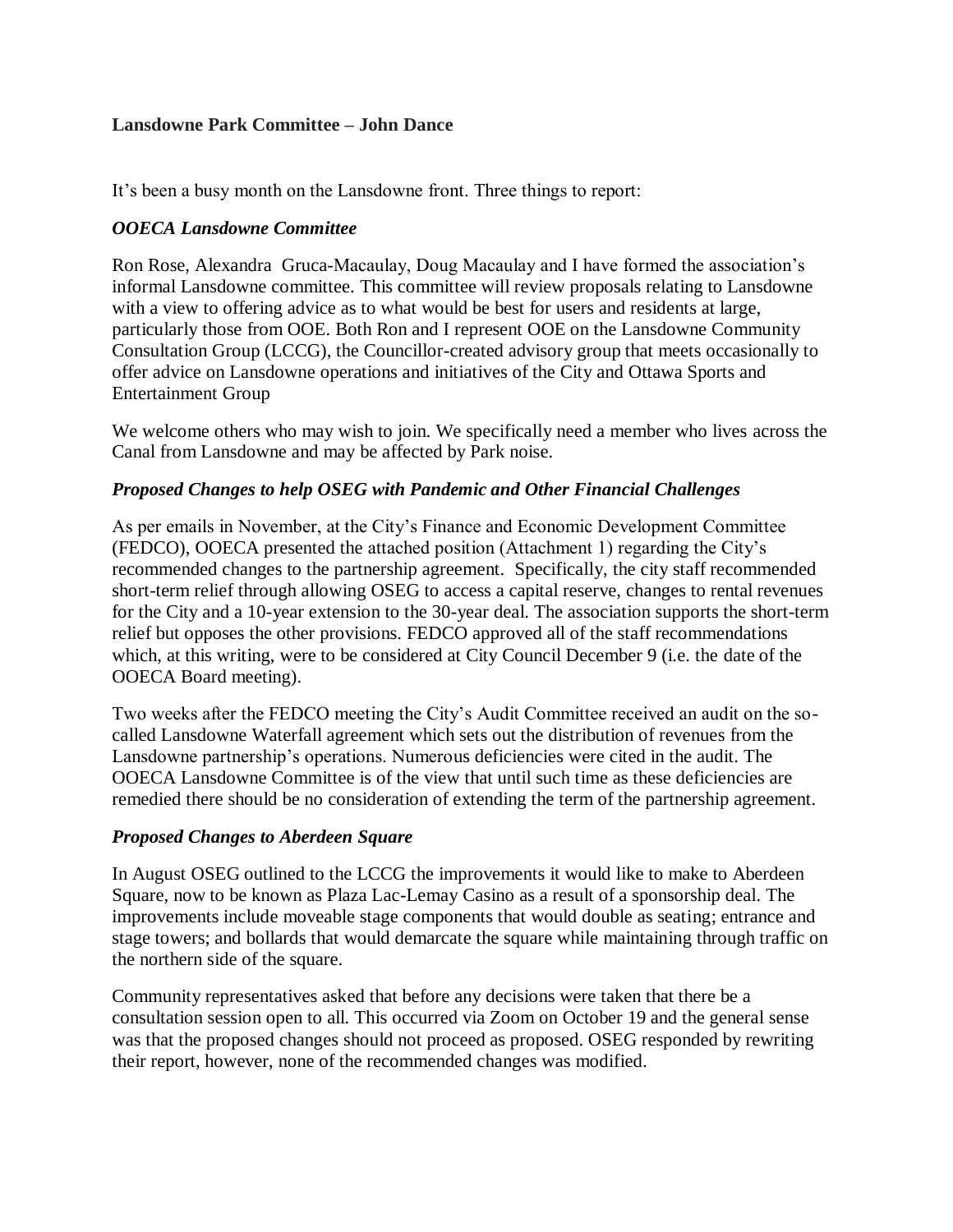### **Lansdowne Park Committee – John Dance**

It's been a busy month on the Lansdowne front. Three things to report:

## *OOECA Lansdowne Committee*

Ron Rose, Alexandra Gruca-Macaulay, Doug Macaulay and I have formed the association's informal Lansdowne committee. This committee will review proposals relating to Lansdowne with a view to offering advice as to what would be best for users and residents at large, particularly those from OOE. Both Ron and I represent OOE on the Lansdowne Community Consultation Group (LCCG), the Councillor-created advisory group that meets occasionally to offer advice on Lansdowne operations and initiatives of the City and Ottawa Sports and Entertainment Group

We welcome others who may wish to join. We specifically need a member who lives across the Canal from Lansdowne and may be affected by Park noise.

### *Proposed Changes to help OSEG with Pandemic and Other Financial Challenges*

As per emails in November, at the City's Finance and Economic Development Committee (FEDCO), OOECA presented the attached position (Attachment 1) regarding the City's recommended changes to the partnership agreement. Specifically, the city staff recommended short-term relief through allowing OSEG to access a capital reserve, changes to rental revenues for the City and a 10-year extension to the 30-year deal. The association supports the short-term relief but opposes the other provisions. FEDCO approved all of the staff recommendations which, at this writing, were to be considered at City Council December 9 (i.e. the date of the OOECA Board meeting).

Two weeks after the FEDCO meeting the City's Audit Committee received an audit on the socalled Lansdowne Waterfall agreement which sets out the distribution of revenues from the Lansdowne partnership's operations. Numerous deficiencies were cited in the audit. The OOECA Lansdowne Committee is of the view that until such time as these deficiencies are remedied there should be no consideration of extending the term of the partnership agreement.

## *Proposed Changes to Aberdeen Square*

In August OSEG outlined to the LCCG the improvements it would like to make to Aberdeen Square, now to be known as Plaza Lac-Lemay Casino as a result of a sponsorship deal. The improvements include moveable stage components that would double as seating; entrance and stage towers; and bollards that would demarcate the square while maintaining through traffic on the northern side of the square.

Community representatives asked that before any decisions were taken that there be a consultation session open to all. This occurred via Zoom on October 19 and the general sense was that the proposed changes should not proceed as proposed. OSEG responded by rewriting their report, however, none of the recommended changes was modified.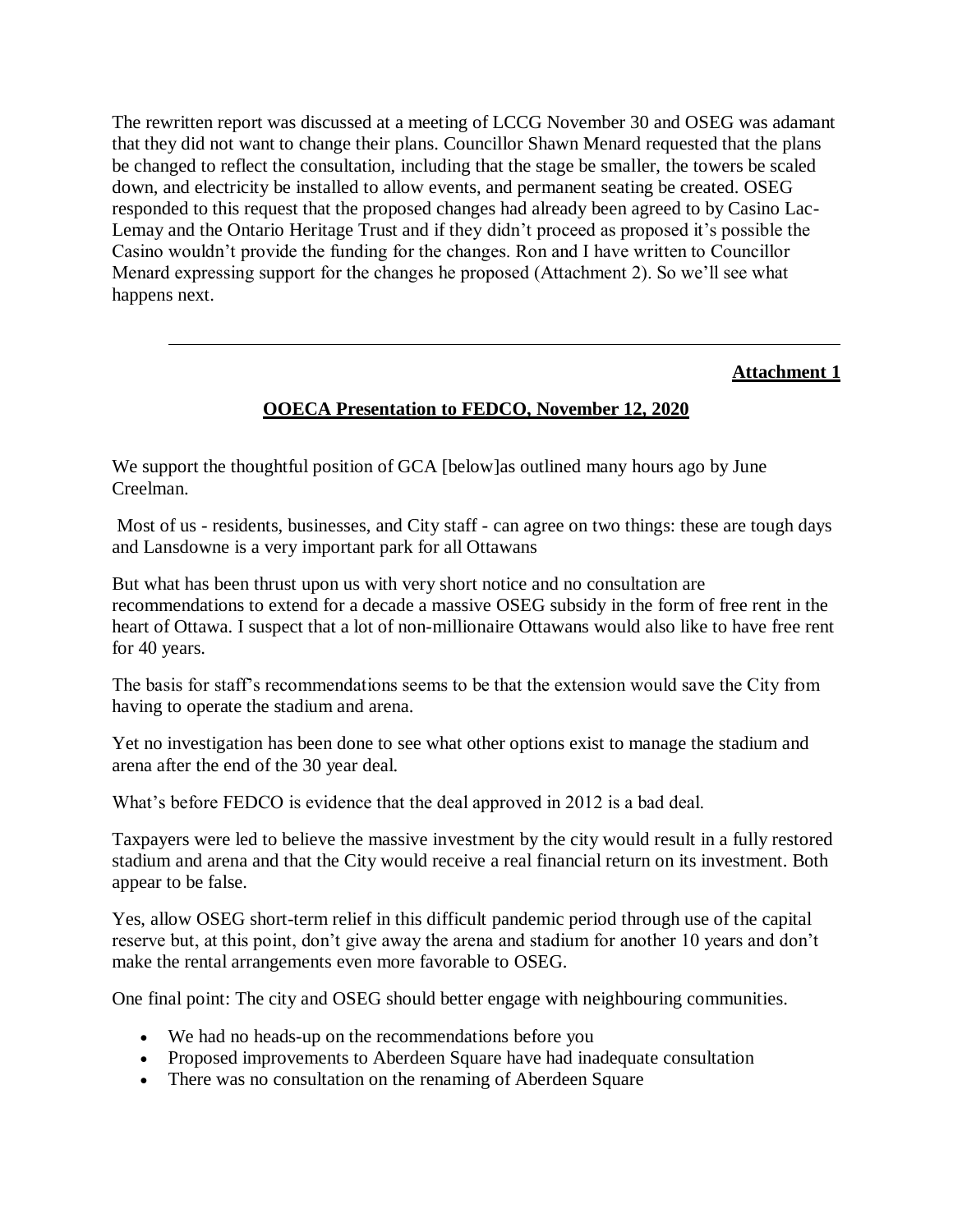The rewritten report was discussed at a meeting of LCCG November 30 and OSEG was adamant that they did not want to change their plans. Councillor Shawn Menard requested that the plans be changed to reflect the consultation, including that the stage be smaller, the towers be scaled down, and electricity be installed to allow events, and permanent seating be created. OSEG responded to this request that the proposed changes had already been agreed to by Casino Lac-Lemay and the Ontario Heritage Trust and if they didn't proceed as proposed it's possible the Casino wouldn't provide the funding for the changes. Ron and I have written to Councillor Menard expressing support for the changes he proposed (Attachment 2). So we'll see what happens next.

### **Attachment 1**

# **OOECA Presentation to FEDCO, November 12, 2020**

We support the thoughtful position of GCA [below] as outlined many hours ago by June Creelman.

Most of us - residents, businesses, and City staff - can agree on two things: these are tough days and Lansdowne is a very important park for all Ottawans

But what has been thrust upon us with very short notice and no consultation are recommendations to extend for a decade a massive OSEG subsidy in the form of free rent in the heart of Ottawa. I suspect that a lot of non-millionaire Ottawans would also like to have free rent for 40 years.

The basis for staff's recommendations seems to be that the extension would save the City from having to operate the stadium and arena.

Yet no investigation has been done to see what other options exist to manage the stadium and arena after the end of the 30 year deal.

What's before FEDCO is evidence that the deal approved in 2012 is a bad deal.

Taxpayers were led to believe the massive investment by the city would result in a fully restored stadium and arena and that the City would receive a real financial return on its investment. Both appear to be false.

Yes, allow OSEG short-term relief in this difficult pandemic period through use of the capital reserve but, at this point, don't give away the arena and stadium for another 10 years and don't make the rental arrangements even more favorable to OSEG.

One final point: The city and OSEG should better engage with neighbouring communities.

- We had no heads-up on the recommendations before you
- Proposed improvements to Aberdeen Square have had inadequate consultation
- There was no consultation on the renaming of Aberdeen Square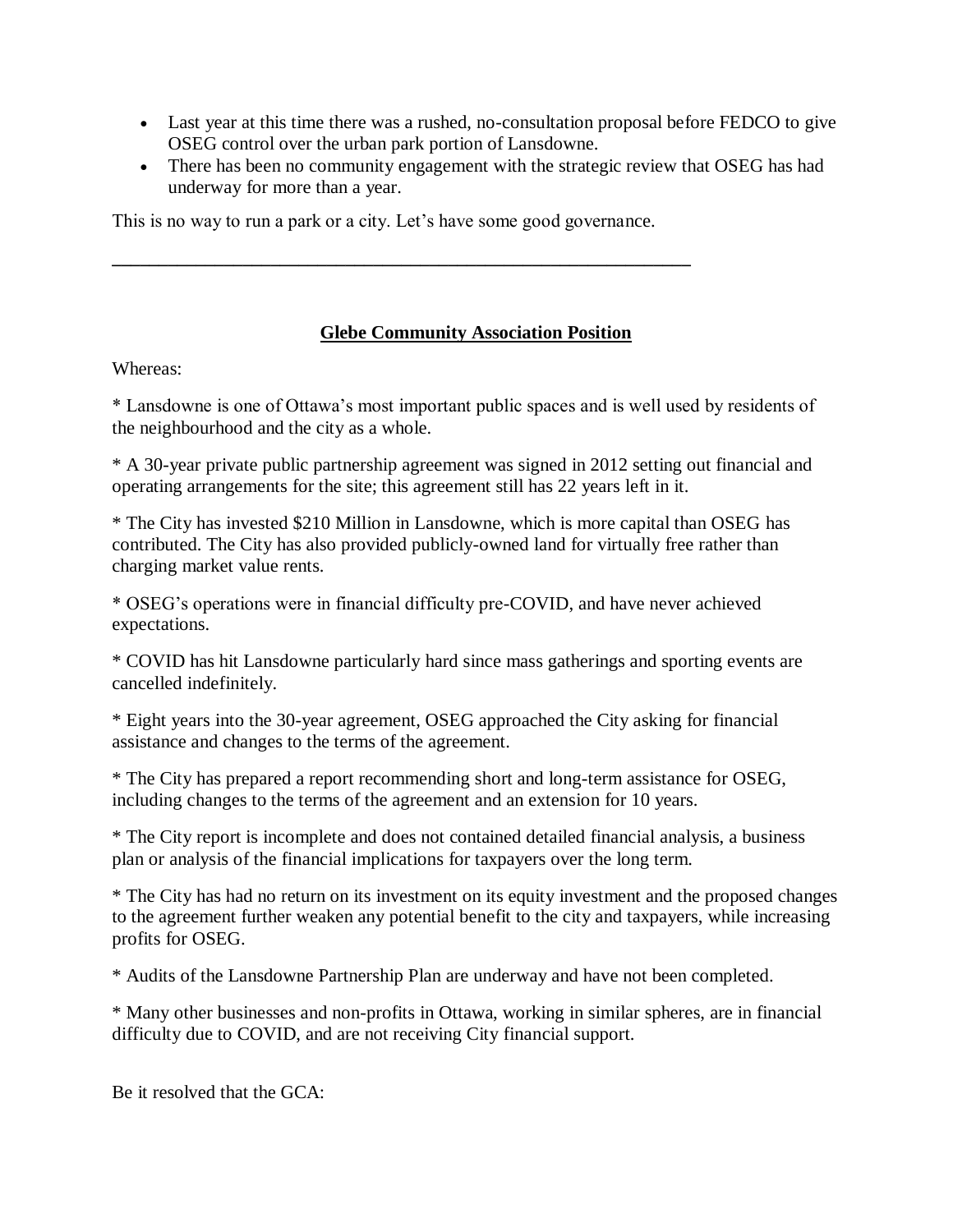- Last year at this time there was a rushed, no-consultation proposal before FEDCO to give OSEG control over the urban park portion of Lansdowne.
- There has been no community engagement with the strategic review that OSEG has had underway for more than a year.

This is no way to run a park or a city. Let's have some good governance.

**\_\_\_\_\_\_\_\_\_\_\_\_\_\_\_\_\_\_\_\_\_\_\_\_\_\_\_\_\_\_\_\_\_\_\_\_\_\_\_\_\_\_\_\_\_\_\_\_\_\_\_\_\_\_\_\_\_\_\_\_\_\_**

# **Glebe Community Association Position**

Whereas:

\* Lansdowne is one of Ottawa's most important public spaces and is well used by residents of the neighbourhood and the city as a whole.

\* A 30-year private public partnership agreement was signed in 2012 setting out financial and operating arrangements for the site; this agreement still has 22 years left in it.

\* The City has invested \$210 Million in Lansdowne, which is more capital than OSEG has contributed. The City has also provided publicly-owned land for virtually free rather than charging market value rents.

\* OSEG's operations were in financial difficulty pre-COVID, and have never achieved expectations.

\* COVID has hit Lansdowne particularly hard since mass gatherings and sporting events are cancelled indefinitely.

\* Eight years into the 30-year agreement, OSEG approached the City asking for financial assistance and changes to the terms of the agreement.

\* The City has prepared a report recommending short and long-term assistance for OSEG, including changes to the terms of the agreement and an extension for 10 years.

\* The City report is incomplete and does not contained detailed financial analysis, a business plan or analysis of the financial implications for taxpayers over the long term.

\* The City has had no return on its investment on its equity investment and the proposed changes to the agreement further weaken any potential benefit to the city and taxpayers, while increasing profits for OSEG.

\* Audits of the Lansdowne Partnership Plan are underway and have not been completed.

\* Many other businesses and non-profits in Ottawa, working in similar spheres, are in financial difficulty due to COVID, and are not receiving City financial support.

Be it resolved that the GCA: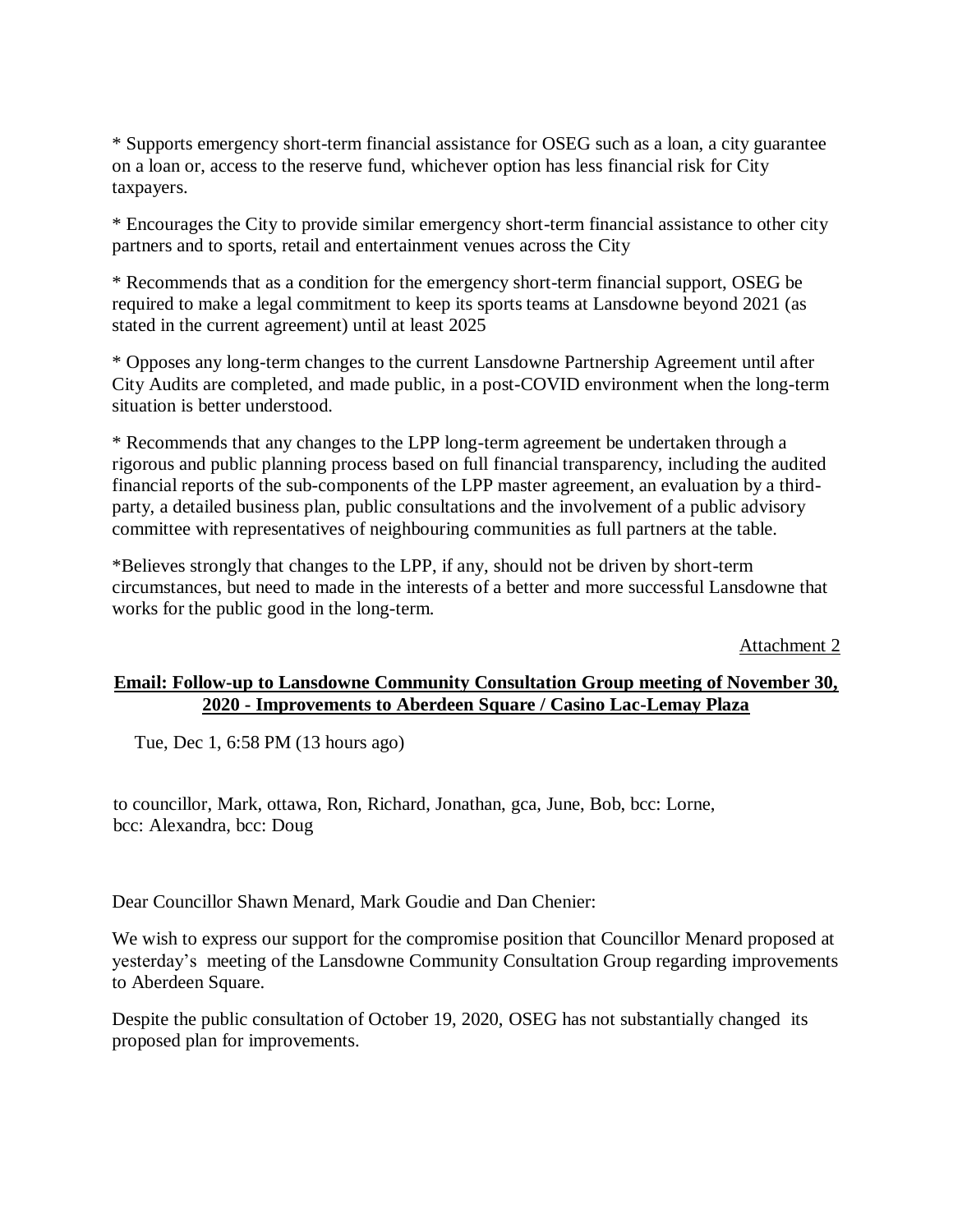\* Supports emergency short-term financial assistance for OSEG such as a loan, a city guarantee on a loan or, access to the reserve fund, whichever option has less financial risk for City taxpayers.

\* Encourages the City to provide similar emergency short-term financial assistance to other city partners and to sports, retail and entertainment venues across the City

\* Recommends that as a condition for the emergency short-term financial support, OSEG be required to make a legal commitment to keep its sports teams at Lansdowne beyond 2021 (as stated in the current agreement) until at least 2025

\* Opposes any long-term changes to the current Lansdowne Partnership Agreement until after City Audits are completed, and made public, in a post-COVID environment when the long-term situation is better understood.

\* Recommends that any changes to the LPP long-term agreement be undertaken through a rigorous and public planning process based on full financial transparency, including the audited financial reports of the sub-components of the LPP master agreement, an evaluation by a thirdparty, a detailed business plan, public consultations and the involvement of a public advisory committee with representatives of neighbouring communities as full partners at the table.

\*Believes strongly that changes to the LPP, if any, should not be driven by short-term circumstances, but need to made in the interests of a better and more successful Lansdowne that works for the public good in the long-term.

Attachment 2

### **Email: Follow-up to Lansdowne Community Consultation Group meeting of November 30, 2020 - Improvements to Aberdeen Square / Casino Lac-Lemay Plaza**

Tue, Dec 1, 6:58 PM (13 hours ago)

to councillor, Mark, ottawa, Ron, Richard, Jonathan, gca, June, Bob, bcc: Lorne, bcc: Alexandra, bcc: Doug

Dear Councillor Shawn Menard, Mark Goudie and Dan Chenier:

We wish to express our support for the compromise position that Councillor Menard proposed at yesterday's meeting of the Lansdowne Community Consultation Group regarding improvements to Aberdeen Square.

Despite the public consultation of October 19, 2020, OSEG has not substantially changed its proposed plan for improvements.